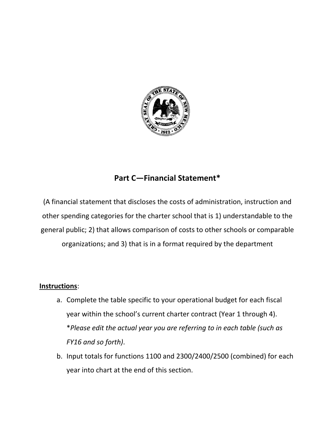

# **Part C—Financial Statement\***

(A financial statement that discloses the costs of administration, instruction and other spending categories for the charter school that is 1) understandable to the general public; 2) that allows comparison of costs to other schools or comparable organizations; and 3) that is in a format required by the department

#### **Instructions**:

- a. Complete the table specific to your operational budget for each fiscal year within the school's current charter contract (Year 1 through 4). \**Please edit the actual year you are referring to in each table (such as FY16 and so forth)*.
- b. Input totals for functions 1100 and 2300/2400/2500 (combined) for each year into chart at the end of this section.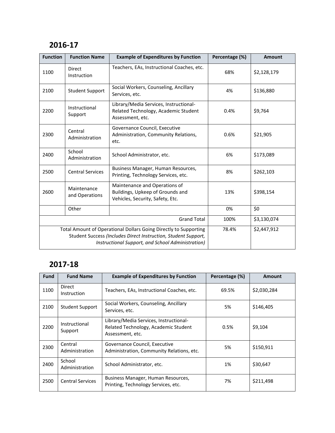### **2016-17**

| <b>Function</b>                                                                                                                                                                         | <b>Function Name</b>          | <b>Example of Expenditures by Function</b>                                                            | Percentage (%) | <b>Amount</b> |
|-----------------------------------------------------------------------------------------------------------------------------------------------------------------------------------------|-------------------------------|-------------------------------------------------------------------------------------------------------|----------------|---------------|
| 1100                                                                                                                                                                                    | Direct<br>Instruction         | Teachers, EAs, Instructional Coaches, etc.                                                            | 68%            | \$2,128,179   |
| 2100                                                                                                                                                                                    | <b>Student Support</b>        | Social Workers, Counseling, Ancillary<br>Services, etc.                                               | 4%             | \$136,880     |
| 2200                                                                                                                                                                                    | Instructional<br>Support      | Library/Media Services, Instructional-<br>Related Technology, Academic Student<br>Assessment, etc.    | 0.4%           | \$9,764       |
| 2300                                                                                                                                                                                    | Central<br>Administration     | Governance Council, Executive<br>Administration, Community Relations,<br>etc.                         | 0.6%           | \$21,905      |
| 2400                                                                                                                                                                                    | School<br>Administration      | School Administrator, etc.                                                                            | 6%             | \$173,089     |
| 2500                                                                                                                                                                                    | <b>Central Services</b>       | Business Manager, Human Resources,<br>Printing, Technology Services, etc.                             | 8%             | \$262,103     |
| 2600                                                                                                                                                                                    | Maintenance<br>and Operations | Maintenance and Operations of<br>Buildings, Upkeep of Grounds and<br>Vehicles, Security, Safety, Etc. | 13%            | \$398,154     |
|                                                                                                                                                                                         | Other                         |                                                                                                       | 0%             | \$0           |
| <b>Grand Total</b>                                                                                                                                                                      |                               |                                                                                                       | 100%           | \$3,130,074   |
| Total Amount of Operational Dollars Going Directly to Supporting<br>Student Success (Includes Direct Instruction, Student Support,<br>Instructional Support, and School Administration) |                               |                                                                                                       | 78.4%          | \$2,447,912   |

## **2017-18**

| <b>Fund</b> | <b>Fund Name</b>          | <b>Example of Expenditures by Function</b>                                                         | Percentage (%) | <b>Amount</b> |
|-------------|---------------------------|----------------------------------------------------------------------------------------------------|----------------|---------------|
| 1100        | Direct<br>Instruction     | Teachers, EAs, Instructional Coaches, etc.                                                         | 69.5%          | \$2,030,284   |
| 2100        | <b>Student Support</b>    | Social Workers, Counseling, Ancillary<br>Services, etc.                                            | 5%             | \$146,405     |
| 2200        | Instructional<br>Support  | Library/Media Services, Instructional-<br>Related Technology, Academic Student<br>Assessment, etc. | 0.5%           | \$9,104       |
| 2300        | Central<br>Administration | Governance Council, Executive<br>Administration, Community Relations, etc.                         | 5%             | \$150,911     |
| 2400        | School<br>Administration  | School Administrator, etc.                                                                         | 1%             | \$30,647      |
| 2500        | <b>Central Services</b>   | Business Manager, Human Resources,<br>Printing, Technology Services, etc.                          | 7%             | \$211,498     |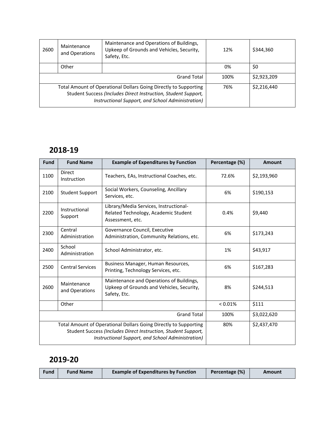| 2600                                                                                                                                                                                    | Maintenance<br>and Operations | Maintenance and Operations of Buildings,<br>Upkeep of Grounds and Vehicles, Security,<br>Safety, Etc. | 12%  | \$344,360   |
|-----------------------------------------------------------------------------------------------------------------------------------------------------------------------------------------|-------------------------------|-------------------------------------------------------------------------------------------------------|------|-------------|
|                                                                                                                                                                                         | Other                         |                                                                                                       | 0%   | \$0         |
| <b>Grand Total</b>                                                                                                                                                                      |                               |                                                                                                       | 100% | \$2,923,209 |
| Total Amount of Operational Dollars Going Directly to Supporting<br>Student Success (Includes Direct Instruction, Student Support,<br>Instructional Support, and School Administration) |                               |                                                                                                       | 76%  | \$2,216,440 |

## **2018-19**

| <b>Fund</b>                                                                                                                                                                             | <b>Fund Name</b>              | <b>Example of Expenditures by Function</b>                                                            | Percentage (%) | Amount      |
|-----------------------------------------------------------------------------------------------------------------------------------------------------------------------------------------|-------------------------------|-------------------------------------------------------------------------------------------------------|----------------|-------------|
| 1100                                                                                                                                                                                    | <b>Direct</b><br>Instruction  | Teachers, EAs, Instructional Coaches, etc.                                                            | 72.6%          | \$2,193,960 |
| 2100                                                                                                                                                                                    | <b>Student Support</b>        | Social Workers, Counseling, Ancillary<br>Services, etc.                                               | 6%             | \$190,153   |
| 2200                                                                                                                                                                                    | Instructional<br>Support      | Library/Media Services, Instructional-<br>Related Technology, Academic Student<br>Assessment, etc.    | 0.4%           | \$9,440     |
| 2300                                                                                                                                                                                    | Central<br>Administration     | Governance Council, Executive<br>Administration, Community Relations, etc.                            | 6%             | \$173,243   |
| 2400                                                                                                                                                                                    | School<br>Administration      | School Administrator, etc.                                                                            | 1%             | \$43,917    |
| 2500                                                                                                                                                                                    | <b>Central Services</b>       | Business Manager, Human Resources,<br>Printing, Technology Services, etc.                             | 6%             | \$167,283   |
| 2600                                                                                                                                                                                    | Maintenance<br>and Operations | Maintenance and Operations of Buildings,<br>Upkeep of Grounds and Vehicles, Security,<br>Safety, Etc. | 8%             | \$244,513   |
|                                                                                                                                                                                         | Other                         |                                                                                                       | $< 0.01\%$     | \$111       |
| <b>Grand Total</b>                                                                                                                                                                      |                               |                                                                                                       | 100%           | \$3,022,620 |
| Total Amount of Operational Dollars Going Directly to Supporting<br>Student Success (Includes Direct Instruction, Student Support,<br>Instructional Support, and School Administration) |                               |                                                                                                       | 80%            | \$2,437,470 |

### **2019-20**

| <b>Example of Expenditures by Function</b><br>Percentage (%)<br><b>Fund Name</b><br>Fund<br>Amount |
|----------------------------------------------------------------------------------------------------|
|----------------------------------------------------------------------------------------------------|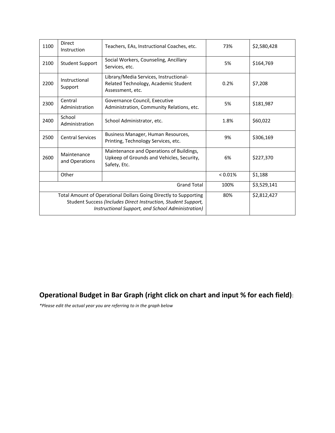| 1100                                                                                                                                                                                    | <b>Direct</b><br>Instruction  | Teachers, EAs, Instructional Coaches, etc.                                                            | 73%     | \$2,580,428 |
|-----------------------------------------------------------------------------------------------------------------------------------------------------------------------------------------|-------------------------------|-------------------------------------------------------------------------------------------------------|---------|-------------|
| 2100                                                                                                                                                                                    | <b>Student Support</b>        | Social Workers, Counseling, Ancillary<br>Services, etc.                                               | 5%      | \$164,769   |
| 2200                                                                                                                                                                                    | Instructional<br>Support      | Library/Media Services, Instructional-<br>Related Technology, Academic Student<br>Assessment, etc.    | 0.2%    | \$7,208     |
| 2300                                                                                                                                                                                    | Central<br>Administration     | Governance Council, Executive<br>Administration, Community Relations, etc.                            | 5%      | \$181,987   |
| 2400                                                                                                                                                                                    | School<br>Administration      | School Administrator, etc.                                                                            | 1.8%    | \$60,022    |
| 2500                                                                                                                                                                                    | <b>Central Services</b>       | Business Manager, Human Resources,<br>Printing, Technology Services, etc.                             | 9%      | \$306,169   |
| 2600                                                                                                                                                                                    | Maintenance<br>and Operations | Maintenance and Operations of Buildings,<br>Upkeep of Grounds and Vehicles, Security,<br>Safety, Etc. | 6%      | \$227,370   |
|                                                                                                                                                                                         | Other                         |                                                                                                       | < 0.01% | \$1,188     |
| <b>Grand Total</b>                                                                                                                                                                      |                               |                                                                                                       | 100%    | \$3,529,141 |
| Total Amount of Operational Dollars Going Directly to Supporting<br>Student Success (Includes Direct Instruction, Student Support,<br>Instructional Support, and School Administration) |                               |                                                                                                       | 80%     | \$2,812,427 |

# **Operational Budget in Bar Graph (right click on chart and input % for each field)**:

*\*Please edit the actual year you are referring to in the graph below*